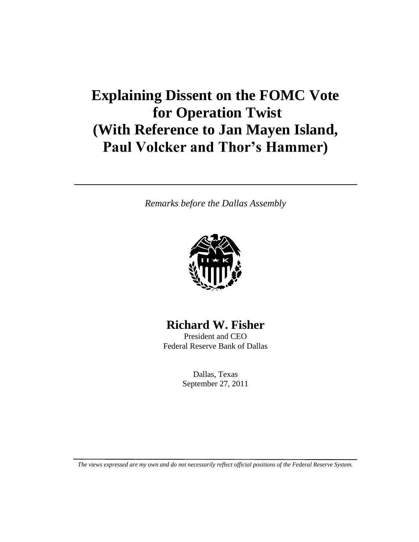# **Explaining Dissent on the FOMC Vote for Operation Twist (With Reference to Jan Mayen Island, Paul Volcker and Thor's Hammer)**

*Remarks before the Dallas Assembly*



### **Richard W. Fisher**

President and CEO Federal Reserve Bank of Dallas

> Dallas, Texas September 27, 2011

*The views expressed are my own and do not necessarily reflect official positions of the Federal Reserve System.*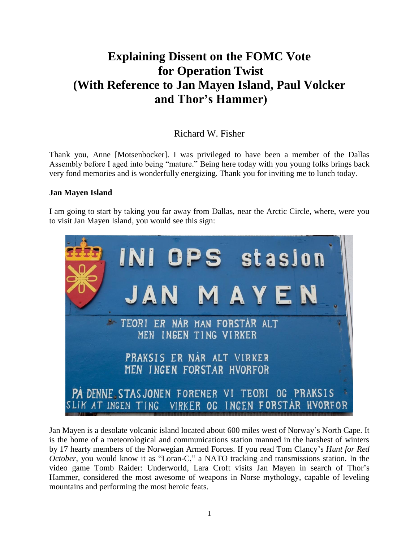## **Explaining Dissent on the FOMC Vote for Operation Twist (With Reference to Jan Mayen Island, Paul Volcker and Thor's Hammer)**

### Richard W. Fisher

Thank you, Anne [Motsenbocker]. I was privileged to have been a member of the Dallas Assembly before I aged into being "mature." Being here today with you young folks brings back very fond memories and is wonderfully energizing. Thank you for inviting me to lunch today.

#### **Jan Mayen Island**

I am going to start by taking you far away from Dallas, near the Arctic Circle, where, were you to visit Jan Mayen Island, you would see this sign:



Jan Mayen is a desolate volcanic island located about 600 miles west of Norway"s North Cape. It is the home of a meteorological and communications station manned in the harshest of winters by 17 hearty members of the Norwegian Armed Forces. If you read Tom Clancy"s *Hunt for Red October*, you would know it as "Loran-C," a NATO tracking and transmissions station. In the video game Tomb Raider: Underworld, Lara Croft visits Jan Mayen in search of Thor"s Hammer, considered the most awesome of weapons in Norse mythology, capable of leveling mountains and performing the most heroic feats.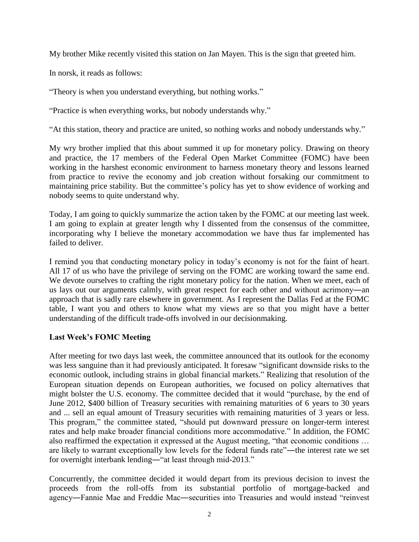My brother Mike recently visited this station on Jan Mayen. This is the sign that greeted him.

In norsk, it reads as follows:

"Theory is when you understand everything, but nothing works."

"Practice is when everything works, but nobody understands why."

"At this station, theory and practice are united, so nothing works and nobody understands why."

My wry brother implied that this about summed it up for monetary policy. Drawing on theory and practice, the 17 members of the Federal Open Market Committee (FOMC) have been working in the harshest economic environment to harness monetary theory and lessons learned from practice to revive the economy and job creation without forsaking our commitment to maintaining price stability. But the committee's policy has yet to show evidence of working and nobody seems to quite understand why.

Today, I am going to quickly summarize the action taken by the FOMC at our meeting last week. I am going to explain at greater length why I dissented from the consensus of the committee, incorporating why I believe the monetary accommodation we have thus far implemented has failed to deliver.

I remind you that conducting monetary policy in today"s economy is not for the faint of heart. All 17 of us who have the privilege of serving on the FOMC are working toward the same end. We devote ourselves to crafting the right monetary policy for the nation. When we meet, each of us lays out our arguments calmly, with great respect for each other and without acrimony―an approach that is sadly rare elsewhere in government. As I represent the Dallas Fed at the FOMC table, I want you and others to know what my views are so that you might have a better understanding of the difficult trade-offs involved in our decisionmaking.

#### **Last Week's FOMC Meeting**

After meeting for two days last week, the committee announced that its outlook for the economy was less sanguine than it had previously anticipated. It foresaw "significant downside risks to the economic outlook, including strains in global financial markets." Realizing that resolution of the European situation depends on European authorities, we focused on policy alternatives that might bolster the U.S. economy. The committee decided that it would "purchase, by the end of June 2012, \$400 billion of Treasury securities with remaining maturities of 6 years to 30 years and ... sell an equal amount of Treasury securities with remaining maturities of 3 years or less. This program," the committee stated, "should put downward pressure on longer-term interest rates and help make broader financial conditions more accommodative." In addition, the FOMC also reaffirmed the expectation it expressed at the August meeting, "that economic conditions … are likely to warrant exceptionally low levels for the federal funds rate"―the interest rate we set for overnight interbank lending―"at least through mid-2013."

Concurrently, the committee decided it would depart from its previous decision to invest the proceeds from the roll-offs from its substantial portfolio of mortgage-backed and agency―Fannie Mae and Freddie Mac―securities into Treasuries and would instead "reinvest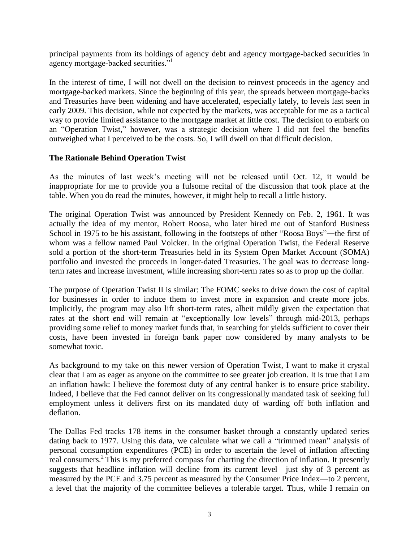principal payments from its holdings of agency debt and agency mortgage-backed securities in agency mortgage-backed securities."<sup>1</sup>

In the interest of time, I will not dwell on the decision to reinvest proceeds in the agency and mortgage-backed markets. Since the beginning of this year, the spreads between mortgage-backs and Treasuries have been widening and have accelerated, especially lately, to levels last seen in early 2009. This decision, while not expected by the markets, was acceptable for me as a tactical way to provide limited assistance to the mortgage market at little cost. The decision to embark on an "Operation Twist," however, was a strategic decision where I did not feel the benefits outweighed what I perceived to be the costs. So, I will dwell on that difficult decision.

#### **The Rationale Behind Operation Twist**

As the minutes of last week"s meeting will not be released until Oct. 12, it would be inappropriate for me to provide you a fulsome recital of the discussion that took place at the table. When you do read the minutes, however, it might help to recall a little history.

The original Operation Twist was announced by President Kennedy on Feb. 2, 1961. It was actually the idea of my mentor, Robert Roosa, who later hired me out of Stanford Business School in 1975 to be his assistant, following in the footsteps of other "Roosa Boys"—the first of whom was a fellow named Paul Volcker. In the original Operation Twist, the Federal Reserve sold a portion of the short-term Treasuries held in its System Open Market Account (SOMA) portfolio and invested the proceeds in longer-dated Treasuries. The goal was to decrease longterm rates and increase investment, while increasing short-term rates so as to prop up the dollar.

The purpose of Operation Twist II is similar: The FOMC seeks to drive down the cost of capital for businesses in order to induce them to invest more in expansion and create more jobs. Implicitly, the program may also lift short-term rates, albeit mildly given the expectation that rates at the short end will remain at "exceptionally low levels" through mid-2013, perhaps providing some relief to money market funds that, in searching for yields sufficient to cover their costs, have been invested in foreign bank paper now considered by many analysts to be somewhat toxic.

As background to my take on this newer version of Operation Twist, I want to make it crystal clear that I am as eager as anyone on the committee to see greater job creation. It is true that I am an inflation hawk: I believe the foremost duty of any central banker is to ensure price stability. Indeed, I believe that the Fed cannot deliver on its congressionally mandated task of seeking full employment unless it delivers first on its mandated duty of warding off both inflation and deflation.

The Dallas Fed tracks 178 items in the consumer basket through a constantly updated series dating back to 1977. Using this data, we calculate what we call a "trimmed mean" analysis of personal consumption expenditures (PCE) in order to ascertain the level of inflation affecting real consumers.<sup>2</sup> This is my preferred compass for charting the direction of inflation. It presently suggests that headline inflation will decline from its current level—just shy of 3 percent as measured by the PCE and 3.75 percent as measured by the Consumer Price Index—to 2 percent, a level that the majority of the committee believes a tolerable target. Thus, while I remain on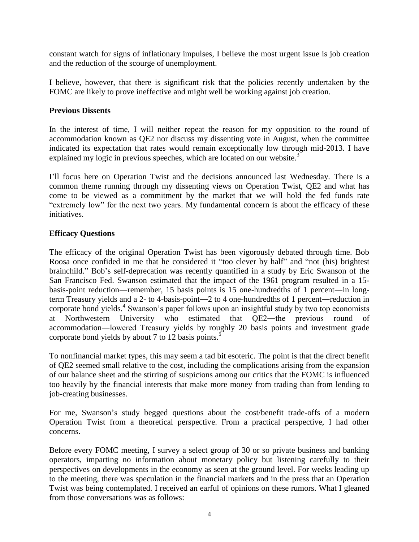constant watch for signs of inflationary impulses, I believe the most urgent issue is job creation and the reduction of the scourge of unemployment.

I believe, however, that there is significant risk that the policies recently undertaken by the FOMC are likely to prove ineffective and might well be working against job creation.

#### **Previous Dissents**

In the interest of time, I will neither repeat the reason for my opposition to the round of accommodation known as QE2 nor discuss my dissenting vote in August, when the committee indicated its expectation that rates would remain exceptionally low through mid-2013. I have explained my logic in previous speeches, which are located on our website.<sup>3</sup>

I"ll focus here on Operation Twist and the decisions announced last Wednesday. There is a common theme running through my dissenting views on Operation Twist, QE2 and what has come to be viewed as a commitment by the market that we will hold the fed funds rate "extremely low" for the next two years. My fundamental concern is about the efficacy of these initiatives.

#### **Efficacy Questions**

The efficacy of the original Operation Twist has been vigorously debated through time. Bob Roosa once confided in me that he considered it "too clever by half" and "not (his) brightest brainchild." Bob"s self-deprecation was recently quantified in a study by Eric Swanson of the San Francisco Fed. Swanson estimated that the impact of the 1961 program resulted in a 15 basis-point reduction―remember, 15 basis points is 15 one-hundredths of 1 percent―in longterm Treasury yields and a 2- to 4-basis-point―2 to 4 one-hundredths of 1 percent―reduction in corporate bond yields.<sup>4</sup> Swanson's paper follows upon an insightful study by two top economists at Northwestern University who estimated that QE2―the previous round of accommodation―lowered Treasury yields by roughly 20 basis points and investment grade corporate bond yields by about 7 to 12 basis points.<sup>5</sup>

To nonfinancial market types, this may seem a tad bit esoteric. The point is that the direct benefit of QE2 seemed small relative to the cost, including the complications arising from the expansion of our balance sheet and the stirring of suspicions among our critics that the FOMC is influenced too heavily by the financial interests that make more money from trading than from lending to job-creating businesses.

For me, Swanson"s study begged questions about the cost/benefit trade-offs of a modern Operation Twist from a theoretical perspective. From a practical perspective, I had other concerns.

Before every FOMC meeting, I survey a select group of 30 or so private business and banking operators, imparting no information about monetary policy but listening carefully to their perspectives on developments in the economy as seen at the ground level. For weeks leading up to the meeting, there was speculation in the financial markets and in the press that an Operation Twist was being contemplated. I received an earful of opinions on these rumors. What I gleaned from those conversations was as follows: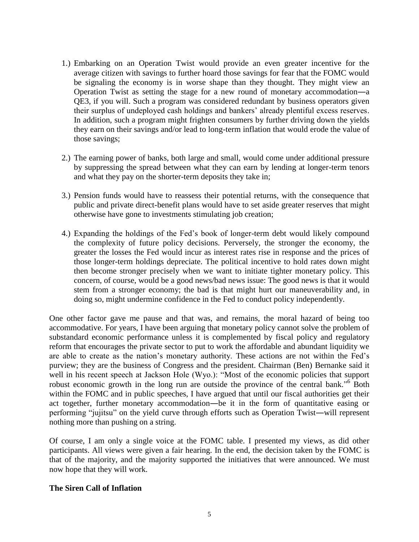- 1.) Embarking on an Operation Twist would provide an even greater incentive for the average citizen with savings to further hoard those savings for fear that the FOMC would be signaling the economy is in worse shape than they thought. They might view an Operation Twist as setting the stage for a new round of monetary accommodation―a QE3, if you will. Such a program was considered redundant by business operators given their surplus of undeployed cash holdings and bankers" already plentiful excess reserves. In addition, such a program might frighten consumers by further driving down the yields they earn on their savings and/or lead to long-term inflation that would erode the value of those savings;
- 2.) The earning power of banks, both large and small, would come under additional pressure by suppressing the spread between what they can earn by lending at longer-term tenors and what they pay on the shorter-term deposits they take in;
- 3.) Pension funds would have to reassess their potential returns, with the consequence that public and private direct-benefit plans would have to set aside greater reserves that might otherwise have gone to investments stimulating job creation;
- 4.) Expanding the holdings of the Fed"s book of longer-term debt would likely compound the complexity of future policy decisions. Perversely, the stronger the economy, the greater the losses the Fed would incur as interest rates rise in response and the prices of those longer-term holdings depreciate. The political incentive to hold rates down might then become stronger precisely when we want to initiate tighter monetary policy. This concern, of course, would be a good news/bad news issue: The good news is that it would stem from a stronger economy; the bad is that might hurt our maneuverability and, in doing so, might undermine confidence in the Fed to conduct policy independently.

One other factor gave me pause and that was, and remains, the moral hazard of being too accommodative. For years, I have been arguing that monetary policy cannot solve the problem of substandard economic performance unless it is complemented by fiscal policy and regulatory reform that encourages the private sector to put to work the affordable and abundant liquidity we are able to create as the nation"s monetary authority. These actions are not within the Fed"s purview; they are the business of Congress and the president. Chairman (Ben) Bernanke said it well in his recent speech at Jackson Hole (Wyo.): "Most of the economic policies that support robust economic growth in the long run are outside the province of the central bank."<sup>6</sup> Both within the FOMC and in public speeches, I have argued that until our fiscal authorities get their act together, further monetary accommodation―be it in the form of quantitative easing or performing "jujitsu" on the yield curve through efforts such as Operation Twist―will represent nothing more than pushing on a string.

Of course, I am only a single voice at the FOMC table. I presented my views, as did other participants. All views were given a fair hearing. In the end, the decision taken by the FOMC is that of the majority, and the majority supported the initiatives that were announced. We must now hope that they will work.

#### **The Siren Call of Inflation**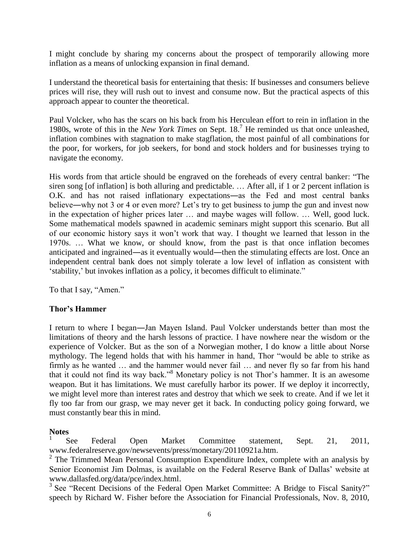I might conclude by sharing my concerns about the prospect of temporarily allowing more inflation as a means of unlocking expansion in final demand.

I understand the theoretical basis for entertaining that thesis: If businesses and consumers believe prices will rise, they will rush out to invest and consume now. But the practical aspects of this approach appear to counter the theoretical.

Paul Volcker, who has the scars on his back from his Herculean effort to rein in inflation in the 1980s, wrote of this in the *New York Times* on Sept. 18.<sup>7</sup> He reminded us that once unleashed, inflation combines with stagnation to make stagflation, the most painful of all combinations for the poor, for workers, for job seekers, for bond and stock holders and for businesses trying to navigate the economy.

His words from that article should be engraved on the foreheads of every central banker: "The siren song [of inflation] is both alluring and predictable. … After all, if 1 or 2 percent inflation is O.K. and has not raised inflationary expectations―as the Fed and most central banks believe—why not 3 or 4 or even more? Let's try to get business to jump the gun and invest now in the expectation of higher prices later … and maybe wages will follow. … Well, good luck. Some mathematical models spawned in academic seminars might support this scenario. But all of our economic history says it won"t work that way. I thought we learned that lesson in the 1970s. … What we know, or should know, from the past is that once inflation becomes anticipated and ingrained―as it eventually would―then the stimulating effects are lost. Once an independent central bank does not simply tolerate a low level of inflation as consistent with 'stability,' but invokes inflation as a policy, it becomes difficult to eliminate."

To that I say, "Amen."

#### **Thor's Hammer**

I return to where I began―Jan Mayen Island. Paul Volcker understands better than most the limitations of theory and the harsh lessons of practice. I have nowhere near the wisdom or the experience of Volcker. But as the son of a Norwegian mother, I do know a little about Norse mythology. The legend holds that with his hammer in hand, Thor "would be able to strike as firmly as he wanted … and the hammer would never fail … and never fly so far from his hand that it could not find its way back."<sup>8</sup> Monetary policy is not Thor"s hammer. It is an awesome weapon. But it has limitations. We must carefully harbor its power. If we deploy it incorrectly, we might level more than interest rates and destroy that which we seek to create. And if we let it fly too far from our grasp, we may never get it back. In conducting policy going forward, we must constantly bear this in mind.

#### **Notes**

1 See Federal Open Market Committee statement, Sept. 21, 2011, www.federalreserve.gov/newsevents/press/monetary/20110921a.htm.

 $2$  The Trimmed Mean Personal Consumption Expenditure Index, complete with an analysis by Senior Economist Jim Dolmas, is available on the Federal Reserve Bank of Dallas' website at www.dallasfed.org/data/pce/index.html.

<sup>3</sup> See "Recent Decisions of the Federal Open Market Committee: A Bridge to Fiscal Sanity?" speech by Richard W. Fisher before the Association for Financial Professionals, Nov. 8, 2010,